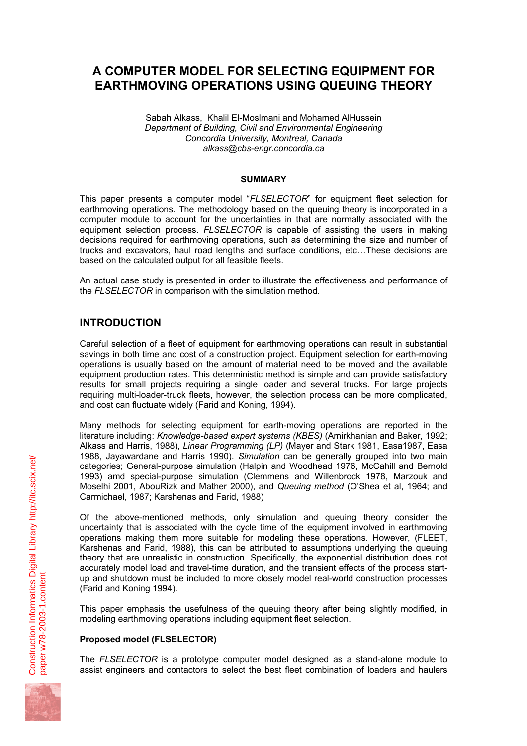# **A COMPUTER MODEL FOR SELECTING EQUIPMENT FOR EARTHMOVING OPERATIONS USING QUEUING THEORY**

Sabah Alkass, Khalil El-Moslmani and Mohamed AlHussein *Department of Building, Civil and Environmental Engineering Concordia University, Montreal, Canada alkass@cbs-engr.concordia.ca* 

#### **SUMMARY**

This paper presents a computer model "*FLSELECTOR*" for equipment fleet selection for earthmoving operations. The methodology based on the queuing theory is incorporated in a computer module to account for the uncertainties in that are normally associated with the equipment selection process. *FLSELECTOR* is capable of assisting the users in making decisions required for earthmoving operations, such as determining the size and number of trucks and excavators, haul road lengths and surface conditions, etc…These decisions are based on the calculated output for all feasible fleets.

An actual case study is presented in order to illustrate the effectiveness and performance of the *FLSELECTOR* in comparison with the simulation method.

# **INTRODUCTION**

Careful selection of a fleet of equipment for earthmoving operations can result in substantial savings in both time and cost of a construction project. Equipment selection for earth-moving operations is usually based on the amount of material need to be moved and the available equipment production rates. This deterministic method is simple and can provide satisfactory results for small projects requiring a single loader and several trucks. For large projects requiring multi-loader-truck fleets, however, the selection process can be more complicated, and cost can fluctuate widely (Farid and Koning, 1994).

Many methods for selecting equipment for earth-moving operations are reported in the literature including: *Knowledge-based expert systems (KBES)* (Amirkhanian and Baker, 1992; Alkass and Harris, 1988), *Linear Programming (LP)* (Mayer and Stark 1981, Easa1987, Easa 1988, Jayawardane and Harris 1990). *Simulation* can be generally grouped into two main categories; General-purpose simulation (Halpin and Woodhead 1976, McCahill and Bernold 1993) amd special-purpose simulation (Clemmens and Willenbrock 1978, Marzouk and Moselhi 2001, AbouRizk and Mather 2000), and *Queuing method* (O'Shea et al, 1964; and Carmichael, 1987; Karshenas and Farid, 1988)

Of the above-mentioned methods, only simulation and queuing theory consider the uncertainty that is associated with the cycle time of the equipment involved in earthmoving operations making them more suitable for modeling these operations. However, (FLEET, Karshenas and Farid, 1988), this can be attributed to assumptions underlying the queuing theory that are unrealistic in construction. Specifically, the exponential distribution does not accurately model load and travel-time duration, and the transient effects of the process startup and shutdown must be included to more closely model real-world construction processes (Farid and Koning 1994).

This paper emphasis the usefulness of the queuing theory after being slightly modified, in modeling earthmoving operations including equipment fleet selection.

#### **Proposed model (FLSELECTOR)**

The *FLSELECTOR* is a prototype computer model designed as a stand-alone module to assist engineers and contactors to select the best fleet combination of loaders and haulers

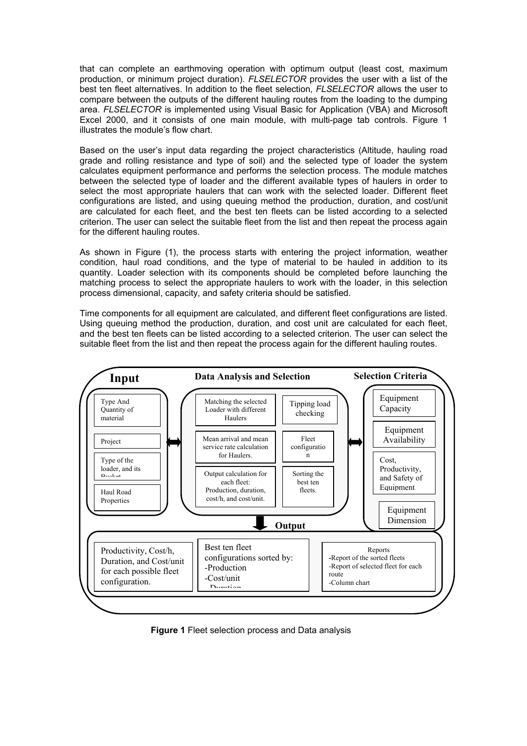that can complete an earthmoving operation with optimum output (least cost, maximum production, or minimum project duration). *FLSELECTOR* provides the user with a list of the best ten fleet alternatives. In addition to the fleet selection, *FLSELECTOR* allows the user to compare between the outputs of the different hauling routes from the loading to the dumping area. *FLSELECTOR* is implemented using Visual Basic for Application (VBA) and Microsoft Excel 2000, and it consists of one main module, with multi-page tab controls. Figure 1 illustrates the module's flow chart.

Based on the user's input data regarding the project characteristics (Altitude, hauling road grade and rolling resistance and type of soil) and the selected type of loader the system calculates equipment performance and performs the selection process. The module matches between the selected type of loader and the different available types of haulers in order to select the most appropriate haulers that can work with the selected loader. Different fleet configurations are listed, and using queuing method the production, duration, and cost/unit are calculated for each fleet, and the best ten fleets can be listed according to a selected criterion. The user can select the suitable fleet from the list and then repeat the process again for the different hauling routes.

As shown in Figure (1), the process starts with entering the project information, weather condition, haul road conditions, and the type of material to be hauled in addition to its quantity. Loader selection with its components should be completed before launching the matching process to select the appropriate haulers to work with the loader, in this selection process dimensional, capacity, and safety criteria should be satisfied.

Time components for all equipment are calculated, and different fleet configurations are listed. Using queuing method the production, duration, and cost unit are calculated for each fleet, and the best ten fleets can be listed according to a selected criterion. The user can select the suitable fleet from the list and then repeat the process again for the different hauling routes.



**Figure 1** Fleet selection process and Data analysis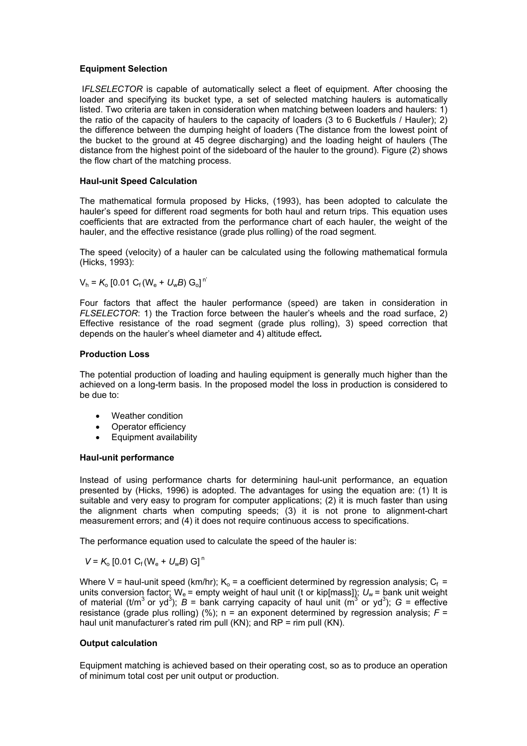#### **Equipment Selection**

I*FLSELECTOR* is capable of automatically select a fleet of equipment. After choosing the loader and specifying its bucket type, a set of selected matching haulers is automatically listed. Two criteria are taken in consideration when matching between loaders and haulers: 1) the ratio of the capacity of haulers to the capacity of loaders (3 to 6 Bucketfuls / Hauler); 2) the difference between the dumping height of loaders (The distance from the lowest point of the bucket to the ground at 45 degree discharging) and the loading height of haulers (The distance from the highest point of the sideboard of the hauler to the ground). Figure (2) shows the flow chart of the matching process.

#### **Haul-unit Speed Calculation**

The mathematical formula proposed by Hicks, (1993), has been adopted to calculate the hauler's speed for different road segments for both haul and return trips. This equation uses coefficients that are extracted from the performance chart of each hauler, the weight of the hauler, and the effective resistance (grade plus rolling) of the road segment.

The speed (velocity) of a hauler can be calculated using the following mathematical formula (Hicks, 1993):

$$
V_h = K_o [0.01 C_f (W_e + U_w B) G_o]^{n'}
$$

Four factors that affect the hauler performance (speed) are taken in consideration in *FLSELECTOR*: 1) the Traction force between the hauler's wheels and the road surface, 2) Effective resistance of the road segment (grade plus rolling), 3) speed correction that depends on the hauler's wheel diameter and 4) altitude effect*.*

#### **Production Loss**

The potential production of loading and hauling equipment is generally much higher than the achieved on a long-term basis. In the proposed model the loss in production is considered to be due to:

- Weather condition
- Operator efficiency
- Equipment availability

#### **Haul-unit performance**

Instead of using performance charts for determining haul-unit performance, an equation presented by (Hicks, 1996) is adopted. The advantages for using the equation are: (1) It is suitable and very easy to program for computer applications; (2) it is much faster than using the alignment charts when computing speeds; (3) it is not prone to alignment-chart measurement errors; and (4) it does not require continuous access to specifications.

The performance equation used to calculate the speed of the hauler is:

$$
V = K_{\rm o} [0.01 \, C_{\rm f} (W_{\rm e} + U_{\rm w} B) \, G]^{\rm n}
$$

Where V = haul-unit speed (km/hr);  $K_0$  = a coefficient determined by regression analysis;  $C_f$  = units conversion factor;  $W_e$  = empty weight of haul unit (t or kip[mass]);  $U_w$  = bank unit weight of material (t/m<sup>3</sup> or yd<sup>3</sup>);  $\vec{B}$  = bank carrying capacity of haul unit (m<sup>3</sup> or yd<sup>3</sup>);  $G$  = effective resistance (grade plus rolling) (%);  $n = an$  exponent determined by regression analysis;  $F =$ haul unit manufacturer's rated rim pull (KN); and RP = rim pull (KN).

#### **Output calculation**

Equipment matching is achieved based on their operating cost, so as to produce an operation of minimum total cost per unit output or production.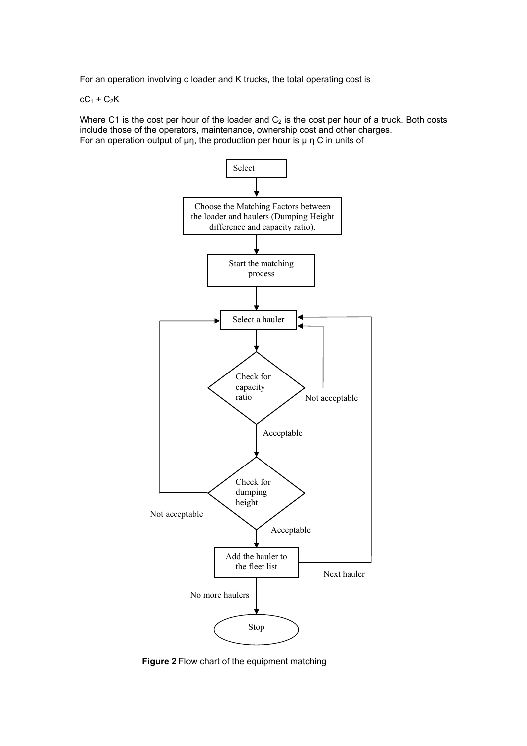For an operation involving c loader and K trucks, the total operating cost is

 $cC_1 + C_2K$ 

Where C1 is the cost per hour of the loader and  $C_2$  is the cost per hour of a truck. Both costs include those of the operators, maintenance, ownership cost and other charges. For an operation output of  $\mu$ η, the production per hour is  $\mu$  η C in units of



**Figure 2** Flow chart of the equipment matching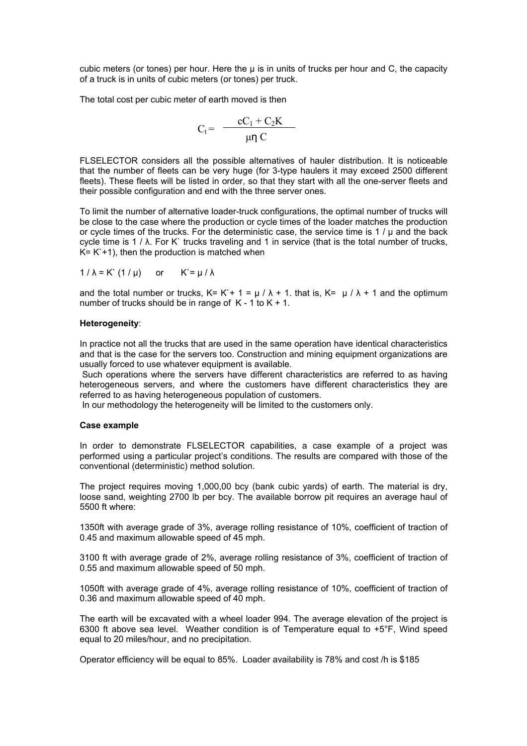cubic meters (or tones) per hour. Here the  $\mu$  is in units of trucks per hour and C, the capacity of a truck is in units of cubic meters (or tones) per truck.

The total cost per cubic meter of earth moved is then

$$
C_t = \frac{cC_1 + C_2K}{\mu \eta C}
$$

FLSELECTOR considers all the possible alternatives of hauler distribution. It is noticeable that the number of fleets can be very huge (for 3-type haulers it may exceed 2500 different fleets). These fleets will be listed in order, so that they start with all the one-server fleets and their possible configuration and end with the three server ones.

To limit the number of alternative loader-truck configurations, the optimal number of trucks will be close to the case where the production or cycle times of the loader matches the production or cycle times of the trucks. For the deterministic case, the service time is  $1 / \mu$  and the back cycle time is 1 / λ. For K` trucks traveling and 1 in service (that is the total number of trucks,  $K = K + 1$ ), then the production is matched when

$$
1/\lambda = K'(1/\mu) \quad \text{or} \quad K = \mu/\lambda
$$

and the total number or trucks,  $K = K + 1 = \mu / \lambda + 1$ . that is,  $K = \mu / \lambda + 1$  and the optimum number of trucks should be in range of  $K - 1$  to  $K + 1$ .

#### **Heterogeneity**:

In practice not all the trucks that are used in the same operation have identical characteristics and that is the case for the servers too. Construction and mining equipment organizations are usually forced to use whatever equipment is available.

 Such operations where the servers have different characteristics are referred to as having heterogeneous servers, and where the customers have different characteristics they are referred to as having heterogeneous population of customers.

In our methodology the heterogeneity will be limited to the customers only.

#### **Case example**

In order to demonstrate FLSELECTOR capabilities, a case example of a project was performed using a particular project's conditions. The results are compared with those of the conventional (deterministic) method solution.

The project requires moving 1,000,00 bcy (bank cubic yards) of earth. The material is dry, loose sand, weighting 2700 lb per bcy. The available borrow pit requires an average haul of 5500 ft where:

1350ft with average grade of 3%, average rolling resistance of 10%, coefficient of traction of 0.45 and maximum allowable speed of 45 mph.

3100 ft with average grade of 2%, average rolling resistance of 3%, coefficient of traction of 0.55 and maximum allowable speed of 50 mph.

1050ft with average grade of 4%, average rolling resistance of 10%, coefficient of traction of 0.36 and maximum allowable speed of 40 mph.

The earth will be excavated with a wheel loader 994. The average elevation of the project is 6300 ft above sea level. Weather condition is of Temperature equal to +5°F, Wind speed equal to 20 miles/hour, and no precipitation.

Operator efficiency will be equal to 85%. Loader availability is 78% and cost /h is \$185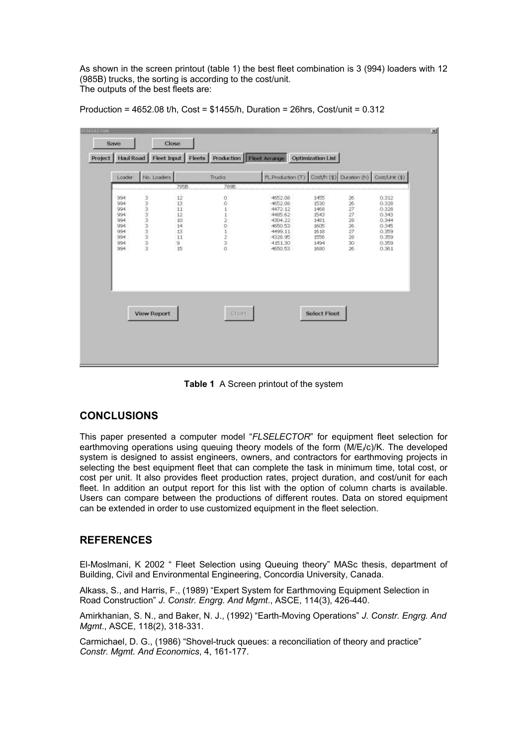As shown in the screen printout (table 1) the best fleet combination is 3 (994) loaders with 12 (985B) trucks, the sorting is according to the cost/unit. The outputs of the best fleets are:

| Production = 4652.08 t/h, Cost = $$1455/h$ , Duration = 26hrs, Cost/unit = 0.312 |  |  |  |
|----------------------------------------------------------------------------------|--|--|--|
|----------------------------------------------------------------------------------|--|--|--|

| Loader     | No. Loaders                          | 785B    | Trucks<br>789B | FL Production (T) Cost/h (\$) Duration (h) Cost/Linit (\$) |                     |                       |                |
|------------|--------------------------------------|---------|----------------|------------------------------------------------------------|---------------------|-----------------------|----------------|
| 994        |                                      | 12      |                | 4652.08                                                    | 1455                |                       | 0.312          |
| 994        | <b>00 00 00 00 00 00 00 00 00 00</b> | 13      | 001120120      | 4652.08                                                    | 1530                | 26<br>26              | 0.328          |
| 994        |                                      | $11\,$  |                | 4472.12                                                    | 1468                | 27                    | 0.328          |
| 994        |                                      | 12      |                | 4485.62                                                    | 1543                | 27                    | 0.343          |
| 994        |                                      | 10      |                | 4304.22                                                    | 1481                | æ                     | 0.344          |
| 994        |                                      | 14      |                | 4650.53                                                    | 1605                | 26                    | 0.345          |
| 994        |                                      | 13      |                | 4499.11                                                    | 1618                | 27                    | 0.359          |
| 994        |                                      | 11      |                | 4328.95                                                    | 1556                | 28                    | 0.359          |
| 994<br>994 |                                      | 9<br>15 |                | 4151.30<br>4650.53                                         | 1494<br>1680        | 30 <sub>2</sub><br>26 | 0.359<br>0.361 |
|            |                                      |         |                |                                                            |                     |                       |                |
|            |                                      |         |                |                                                            |                     |                       |                |
|            | <b>View Report</b>                   |         | Chart          |                                                            | <b>Select Fleet</b> |                       |                |

**Table 1** A Screen printout of the system

## **CONCLUSIONS**

This paper presented a computer model "*FLSELECTOR*" for equipment fleet selection for earthmoving operations using queuing theory models of the form (M/E*<sup>l</sup>* /c)/K. The developed system is designed to assist engineers, owners, and contractors for earthmoving projects in selecting the best equipment fleet that can complete the task in minimum time, total cost, or cost per unit. It also provides fleet production rates, project duration, and cost/unit for each fleet. In addition an output report for this list with the option of column charts is available. Users can compare between the productions of different routes. Data on stored equipment can be extended in order to use customized equipment in the fleet selection.

## **REFERENCES**

El-Moslmani, K 2002 " Fleet Selection using Queuing theory" MASc thesis, department of Building, Civil and Environmental Engineering, Concordia University, Canada.

Alkass, S., and Harris, F., (1989) "Expert System for Earthmoving Equipment Selection in Road Construction" *J. Constr. Engrg. And Mgmt*., ASCE, 114(3), 426-440.

Amirkhanian, S. N., and Baker, N. J., (1992) "Earth-Moving Operations" *J. Constr. Engrg. And Mgmt*., ASCE, 118(2), 318-331.

Carmichael, D. G., (1986) "Shovel-truck queues: a reconciliation of theory and practice" *Constr. Mgmt. And Economics*, 4, 161-177.